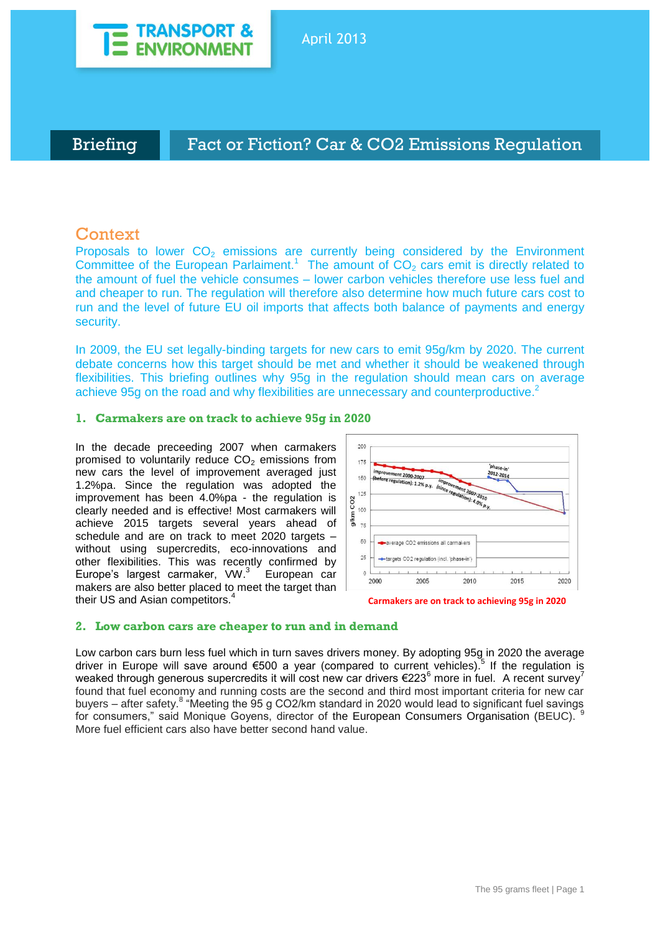

# Briefing **Fact or Fiction? Car & CO2 Emissions Regulation**

# **Context**

Proposals to lower  $CO<sub>2</sub>$  emissions are currently being considered by the Environment Committee of the European Parlaiment.<sup>1</sup> The amount of  $CO<sub>2</sub>$  cars emit is directly related to the amount of fuel the vehicle consumes – lower carbon vehicles therefore use less fuel and and cheaper to run. The regulation will therefore also determine how much future cars cost to run and the level of future EU oil imports that affects both balance of payments and energy security.

In 2009, the EU set legally-binding targets for new cars to emit 95g/km by 2020. The current debate concerns how this target should be met and whether it should be weakened through flexibilities. This briefing outlines why 95g in the regulation should mean cars on average achieve 95g on the road and why flexibilities are unnecessary and counterproductive.<sup>2</sup>

## **1. Carmakers are on track to achieve 95g in 2020**

In the decade preceeding 2007 when carmakers promised to voluntarily reduce  $CO<sub>2</sub>$  emissions from new cars the level of improvement averaged just 1.2%pa. Since the regulation was adopted the improvement has been 4.0%pa - the regulation is clearly needed and is effective! Most carmakers will achieve 2015 targets several years ahead of schedule and are on track to meet 2020 targets – without using supercredits, eco-innovations and other flexibilities. This was recently confirmed by Europe's largest carmaker, VW.<sup>3</sup> European car makers are also better placed to meet the target than their US and Asian competitors.<sup>4</sup>



**Carmakers are on track to achieving 95g in 2020**

### **2. Low carbon cars are cheaper to run and in demand**

Low carbon cars burn less fuel which in turn saves drivers money. By adopting 95g in 2020 the average driver in Europe will save around €500 a year (compared to current vehicles).<sup>5</sup> If the regulation is weaked through generous supercredits it will cost new car drivers €223<sup>6</sup> more in fuel. A recent survey<sup>7</sup> found that fuel economy and running costs are the second and third most important criteria for new car buyers – after safety.<sup>8</sup> "Meeting the 95 g CO2/km standard in 2020 would lead to significant fuel savings for consumers," said Monique Goyens, director of the European Consumers Organisation (BEUC). More fuel efficient cars also have better second hand value.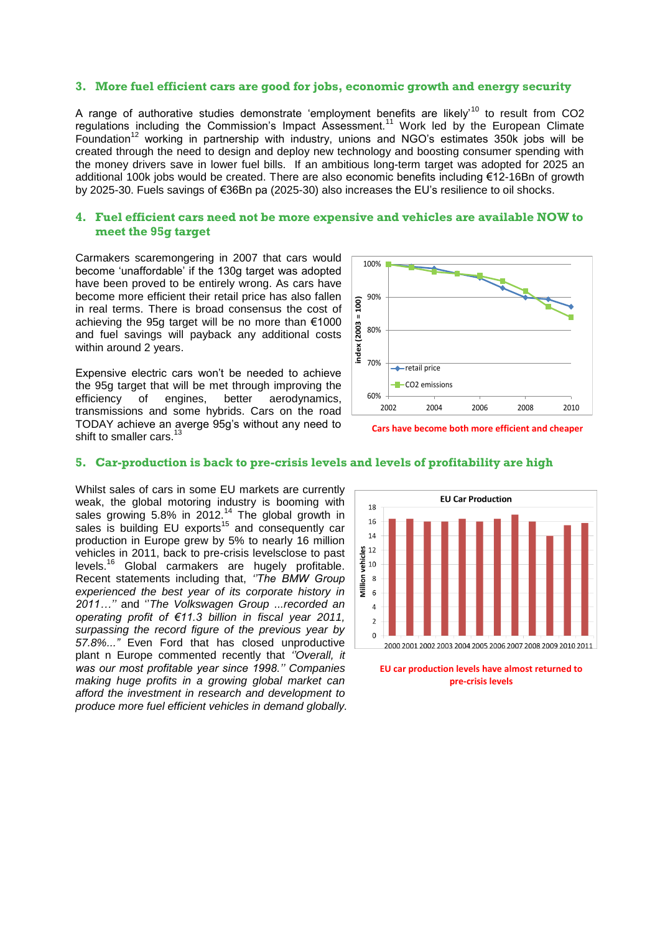### **3. More fuel efficient cars are good for jobs, economic growth and energy security**

A range of authorative studies demonstrate 'employment benefits are likely'<sup>10</sup> to result from CO2 regulations including the Commission's Impact Assessment.<sup>11</sup> Work led by the European Climate Foundation<sup>12</sup> working in partnership with industry, unions and NGO's estimates 350k jobs will be created through the need to design and deploy new technology and boosting consumer spending with the money drivers save in lower fuel bills. If an ambitious long-term target was adopted for 2025 an additional 100k jobs would be created. There are also economic benefits including €12-16Bn of growth by 2025-30. Fuels savings of €36Bn pa (2025-30) also increases the EU's resilience to oil shocks.

### **4. Fuel efficient cars need not be more expensive and vehicles are available NOW to meet the 95g target**

Carmakers scaremongering in 2007 that cars would become 'unaffordable' if the 130g target was adopted have been proved to be entirely wrong. As cars have become more efficient their retail price has also fallen in real terms. There is broad consensus the cost of achieving the 95g target will be no more than €1000 and fuel savings will payback any additional costs within around 2 years.

Expensive electric cars won't be needed to achieve the 95g target that will be met through improving the efficiency of engines, better aerodynamics, transmissions and some hybrids. Cars on the road TODAY achieve an averge 95g's without any need to shift to smaller cars.<sup>13</sup>





#### **5. Car-production is back to pre-crisis levels and levels of profitability are high**

Whilst sales of cars in some EU markets are currently weak, the global motoring industry is booming with sales growing 5.8% in 2012.<sup>14</sup> The global growth in sales is building EU exports<sup>15</sup> and consequently car production in Europe grew by 5% to nearly 16 million vehicles in 2011, back to pre-crisis levelsclose to past levels.<sup>16</sup> Global carmakers are hugely profitable. Recent statements including that, *''The BMW Group experienced the best year of its corporate history in 2011…''* and ''*The Volkswagen Group ...recorded an operating profit of €11.3 billion in fiscal year 2011, surpassing the record figure of the previous year by 57.8%..."* Even Ford that has closed unproductive plant n Europe commented recently that *''Overall, it was our most profitable year since 1998.'' Companies making huge profits in a growing global market can afford the investment in research and development to produce more fuel efficient vehicles in demand globally.*



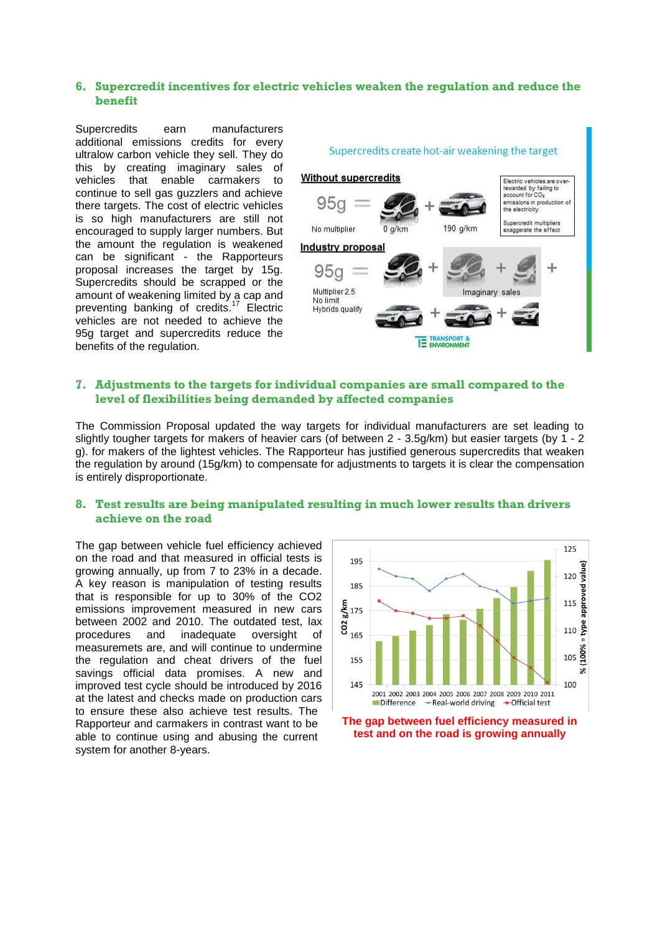## **6. Supercredit incentives for electric vehicles weaken the regulation and reduce the benefit**

Supercredits earn manufacturers additional emissions credits for every ultralow carbon vehicle they sell. They do this by creating imaginary sales of vehicles that enable carmakers to continue to sell gas guzzlers and achieve there targets. The cost of electric vehicles is so high manufacturers are still not encouraged to supply larger numbers. But the amount the regulation is weakened can be significant - the Rapporteurs proposal increases the target by 15g. Supercredits should be scrapped or the amount of weakening limited by a cap and preventing banking of credits.<sup>17</sup> Electric vehicles are not needed to achieve the 95g target and supercredits reduce the benefits of the regulation.



# **7. Adjustments to the targets for individual companies are small compared to the level of flexibilities being demanded by affected companies**

The Commission Proposal updated the way targets for individual manufacturers are set leading to slightly tougher targets for makers of heavier cars (of between 2 - 3.5g/km) but easier targets (by 1 - 2 g). for makers of the lightest vehicles. The Rapporteur has justified generous supercredits that weaken the regulation by around (15g/km) to compensate for adjustments to targets it is clear the compensation is entirely disproportionate.

## **8. Test results are being manipulated resulting in much lower results than drivers achieve on the road**

The gap between vehicle fuel efficiency achieved on the road and that measured in official tests is growing annually, up from 7 to 23% in a decade. A key reason is manipulation of testing results that is responsible for up to 30% of the CO2 emissions improvement measured in new cars between 2002 and 2010. The outdated test, lax procedures and inadequate oversight of measuremets are, and will continue to undermine the regulation and cheat drivers of the fuel savings official data promises. A new and improved test cycle should be introduced by 2016 at the latest and checks made on production cars to ensure these also achieve test results. The Rapporteur and carmakers in contrast want to be able to continue using and abusing the current system for another 8-years.



**test and on the road is growing annually**